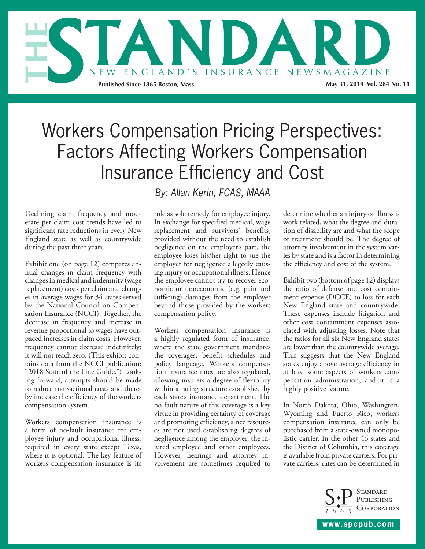

# Workers Compensation Pricing Perspectives: Factors Affecting Workers Compensation Insurance Efficiency and Cost

Declining claim frequency and moderate per claim cost trends have led to significant rate reductions in every New England state as well as countrywide during the past three years.

Exhibit one (on page 12) compares annual changes in claim frequency with changes in medical and indemnity (wage replacement) costs per claim and changes in average wages for 34 states served by the National Council on Compensation Insurance (NCCI). Together, the decrease in frequency and increase in revenue proportional to wages have outpaced increases in claim costs. However, frequency cannot decrease indefinitely; it will not reach zero. (This exhibit contains data from the NCCI publication: "2018 State of the Line Guide.") Looking forward, attempts should be made to reduce transactional costs and thereby increase the efficiency of the workers compensation system.

Workers compensation insurance is a form of no-fault insurance for employee injury and occupational illness, required in every state except Texas, where it is optional. The key feature of workers compensation insurance is its

*By: Allan Kerin, FCAS, MAAA*

role as sole remedy for employee injury. In exchange for specified medical, wage replacement and survivors' benefits, provided without the need to establish negligence on the employer's part, the employee loses his/her right to sue the employer for negligence allegedly causing injury or occupational illness. Hence the employee cannot try to recover economic or noneconomic (e.g. pain and suffering) damages from the employer beyond those provided by the workers compensation policy.

Workers compensation insurance is a highly regulated form of insurance, where the state government mandates the coverages, benefit schedules and policy language. Workers compensation insurance rates are also regulated, allowing insurers a degree of flexibility within a rating structure established by each state's insurance department. The no-fault nature of this coverage is a key virtue in providing certainty of coverage and promoting efficiency, since resources are not used establishing degrees of negligence among the employer, the injured employee and other employees. However, hearings and attorney involvement are sometimes required to

determine whether an injury or illness is work related, what the degree and duration of disability are and what the scope of treatment should be. The degree of attorney involvement in the system varies by state and is a factor in determining the efficiency and cost of the system.

Exhibit two (bottom of page 12) displays the ratio of defense and cost containment expense (DCCE) to loss for each New England state and countrywide. These expenses include litigation and other cost containment expenses associated with adjusting losses. Note that the ratios for all six New England states are lower than the countrywide average. This suggests that the New England states enjoy above average efficiency in at least some aspects of workers compensation administration, and it is a highly positive feature.

In North Dakota, Ohio, Washington, Wyoming and Puerto Rico, workers compensation insurance can only be purchased from a state-owned monopolistic carrier. In the other 46 states and the District of Columbia, this coverage is available from private carriers. For private carriers, rates can be determined in



**www.spcpub.com**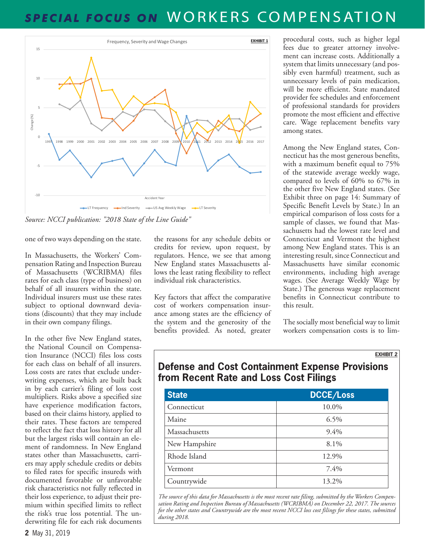### *SPECIAL FOCUS ON* WORKERS COMPENSATION



*Source: NCCI publication: "2018 State of the Line Guide"*

one of two ways depending on the state.

In Massachusetts, the Workers' Compensation Rating and Inspection Bureau of Massachusetts (WCRIBMA) files rates for each class (type of business) on behalf of all insurers within the state. Individual insurers must use these rates subject to optional downward deviations (discounts) that they may include in their own company filings.

In the other five New England states, the National Council on Compensation Insurance (NCCI) files loss costs for each class on behalf of all insurers. Loss costs are rates that exclude underwriting expenses, which are built back in by each carrier's filing of loss cost multipliers. Risks above a specified size have experience modification factors, based on their claims history, applied to their rates. These factors are tempered to reflect the fact that loss history for all but the largest risks will contain an element of randomness. In New England states other than Massachusetts, carriers may apply schedule credits or debits to filed rates for specific insureds with documented favorable or unfavorable risk characteristics not fully reflected in their loss experience, to adjust their premium within specified limits to reflect the risk's true loss potential. The underwriting file for each risk documents

the reasons for any schedule debits or credits for review, upon request, by regulators. Hence, we see that among New England states Massachusetts allows the least rating flexibility to reflect individual risk characteristics.

Key factors that affect the comparative cost of workers compensation insurance among states are the efficiency of the system and the generosity of the benefits provided. As noted, greater

procedural costs, such as higher legal fees due to greater attorney involvement can increase costs. Additionally a system that limits unnecessary (and possibly even harmful) treatment, such as unnecessary levels of pain medication, will be more efficient. State mandated provider fee schedules and enforcement of professional standards for providers promote the most efficient and effective care. Wage replacement benefits vary among states.

Among the New England states, Connecticut has the most generous benefits, with a maximum benefit equal to 75% of the statewide average weekly wage, compared to levels of 60% to 67% in the other five New England states. (See Exhibit three on page 14: Summary of Specific Benefit Levels by State.) In an empirical comparison of loss costs for a sample of classes, we found that Massachusetts had the lowest rate level and Connecticut and Vermont the highest among New England states. This is an interesting result, since Connecticut and Massachusetts have similar economic environments, including high average wages. (See Average Weekly Wage by State.) The generous wage replacement benefits in Connecticut contribute to this result.

The socially most beneficial way to limit workers compensation costs is to lim-

#### **EXHIBIT 2**

### **Defense and Cost Containment Expense Provisions from Recent Rate and Loss Cost Filings**

| <b>State</b>  | <b>DCCE/Loss</b> |
|---------------|------------------|
| Connecticut   | 10.0%            |
| Maine         | 6.5%             |
| Massachusetts | 9.4%             |
| New Hampshire | 8.1%             |
| Rhode Island  | 12.9%            |
| Vermont       | 7.4%             |
| Countrywide   | 13.2%            |

*The source of this data for Massachusetts is the most recent rate filing, submitted by the Workers Compensation Rating and Inspection Bureau of Massachusetts (WCRIBMA) on December 22, 2017. The sources for the other states and Countrywide are the most recent NCCI loss cost filings for these states, submitted during 2018.*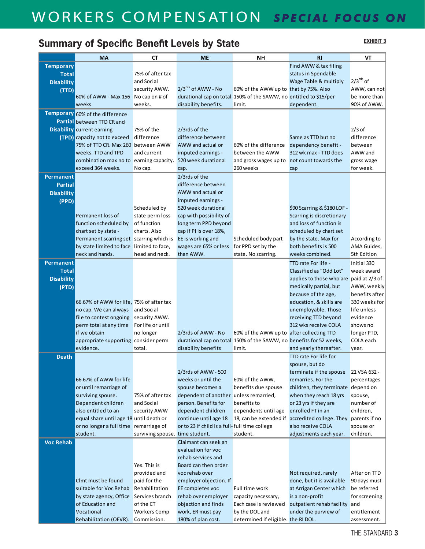## WORKERS COMPENSATION *SPECIAL FOCUS ON*

### Summary of Specific Benefit Levels by State **EXHIBIT 3**

**EXHIBIT 3**

|                            | <b>MA</b>                                                      | СT                              | <b>ME</b>                                     | <b>NH</b>                                                           | <b>RI</b>                                                     | VT                      |
|----------------------------|----------------------------------------------------------------|---------------------------------|-----------------------------------------------|---------------------------------------------------------------------|---------------------------------------------------------------|-------------------------|
| <b>Temporary</b>           |                                                                |                                 |                                               |                                                                     | Find AWW & tax filing                                         |                         |
| <b>Total</b>               |                                                                | 75% of after tax                |                                               |                                                                     | status in Spendable                                           |                         |
| <b>Disability</b>          |                                                                | and Social                      |                                               |                                                                     | Wage Table & multiply                                         | $2/3^{rds}$ of          |
| (TTD)                      |                                                                | security AWW.                   | $2/3^{rds}$ of AWW - No                       | 60% of the AWW up to that by 75%. Also                              |                                                               | AWW, can not            |
|                            | 60% of AWW - Max 156 No cap on # of                            |                                 |                                               | durational cap on total 150% of the SAWW, no entitled to \$15/per   |                                                               | be more than            |
|                            | weeks                                                          | weeks.                          | disability benefits.                          | limit.                                                              | dependent.                                                    | 90% of AWW.             |
|                            | Temporary 60% of the difference                                |                                 |                                               |                                                                     |                                                               |                         |
|                            | <b>Partial</b> between TTD CR and                              |                                 |                                               |                                                                     |                                                               |                         |
|                            | <b>Disability</b> current earning                              | 75% of the                      | 2/3rds of the                                 |                                                                     |                                                               | $2/3$ of                |
|                            | <b>(TPD)</b> capacity not to exceed                            | difference                      | difference between                            |                                                                     | Same as TTD but no                                            | difference              |
|                            | 75% of TTD CR. Max 260 between AWW                             |                                 | AWW and actual or                             | 60% of the difference                                               | dependency benefit -                                          | between                 |
|                            | weeks. TTD and TPD                                             | and current                     | imputed earnings -                            | between the AWW                                                     | 312 wk max - TTD does                                         | AWW and                 |
|                            | combination max no to earning capacity. 520 week durational    |                                 |                                               | and gross wages up to not count towards the                         |                                                               | gross wage              |
|                            | exceed 364 weeks.                                              | No cap.                         | cap.                                          | 260 weeks                                                           | cap                                                           | for week.               |
| Permanent                  |                                                                |                                 | 2/3rds of the                                 |                                                                     |                                                               |                         |
| <b>Partial</b>             |                                                                |                                 | difference between<br>AWW and actual or       |                                                                     |                                                               |                         |
| <b>Disability</b><br>(PPD) |                                                                |                                 | imputed earnings -                            |                                                                     |                                                               |                         |
|                            |                                                                | Scheduled by                    | 520 week durational                           |                                                                     | \$90 Scarring & \$180 LOF -                                   |                         |
|                            | Permanent loss of                                              | state perm loss                 | cap with possibility of                       |                                                                     | Scarring is discretionary                                     |                         |
|                            | function scheduled by                                          | of function                     | long term PPD beyond                          |                                                                     | and loss of function is                                       |                         |
|                            | chart set by state -                                           | charts. Also                    | cap if PI is over 18%,                        |                                                                     | scheduled by chart set                                        |                         |
|                            | Permanent scarring set scarring which is                       |                                 | EE is working and                             | Scheduled body part                                                 | by the state. Max for                                         | According to            |
|                            | by state limited to face limited to face,                      |                                 | wages are 65% or less                         | for PPD set by the                                                  | both benefits is 500                                          | AMA Guides,             |
|                            | neck and hands.                                                | head and neck.                  | than AWW.                                     | state. No scarring.                                                 | weeks combined.                                               | 5th Edition             |
| Permanent                  |                                                                |                                 |                                               |                                                                     | TTD rate For life -                                           | Initial 330             |
| <b>Total</b>               |                                                                |                                 |                                               |                                                                     | Classified as "Odd Lot"                                       | week award              |
| <b>Disability</b>          |                                                                |                                 |                                               |                                                                     | applies to those who are paid at 2/3 of                       |                         |
| (PTD)                      |                                                                |                                 |                                               |                                                                     | medically partial, but                                        | AWW, weekly             |
|                            |                                                                |                                 |                                               |                                                                     | because of the age,                                           | benefits after          |
|                            | 66.67% of AWW for life, 75% of after tax                       |                                 |                                               |                                                                     | education, & skills are                                       | 330 weeks for           |
|                            | no cap. We can always                                          | and Social                      |                                               |                                                                     | unemployable. Those                                           | life unless             |
|                            | file to contest ongoing                                        | security AWW.                   |                                               |                                                                     | receiving TTD beyond<br>312 wks receive COLA                  | evidence                |
|                            | perm total at any time<br>if we obtain                         | For life or until<br>no longer  | 2/3rds of AWW - No                            | 60% of the AWW up to after collecting TTD                           |                                                               | shows no<br>longer PTD, |
|                            | appropriate supporting consider perm                           |                                 |                                               | durational cap on total 150% of the SAWW, no benefits for 52 weeks, |                                                               | COLA each               |
|                            | evidence.                                                      | total.                          | disability benefits                           | limit.                                                              | and yearly thereafter.                                        | year.                   |
| <b>Death</b>               |                                                                |                                 |                                               |                                                                     | TTD rate For life for                                         |                         |
|                            |                                                                |                                 |                                               |                                                                     | spouse, but do                                                |                         |
|                            |                                                                |                                 | 2/3rds of AWW - 500                           |                                                                     | terminate if the spouse                                       | 21 VSA 632 -            |
|                            | 66.67% of AWW for life                                         |                                 | weeks or until the                            | 60% of the AWW,                                                     | remarries. For the                                            | percentages             |
|                            | or until remarriage of                                         |                                 | spouse becomes a                              | benefits due spouse                                                 | children, they terminate depend on                            |                         |
|                            | surviving spouse.                                              | 75% of after tax                | dependent of another                          | unless remarried,                                                   | when they reach 18 yrs                                        | spouse,                 |
|                            | Dependent children                                             | and Social                      | person. Benefits for                          | benefits to                                                         | or 23 yrs if they are<br>enrolled FT in an                    | number of               |
|                            | also entitled to an<br>equal share until age 18 until death or | security AWW                    | dependent children<br>continue until age 18   | dependents until age                                                | 18, can be extended if accredited college. They parents if no | children,               |
|                            | or no longer a full time remarriage of                         |                                 | or to 23 if child is a full-full time college |                                                                     | also receive COLA                                             | spouse or               |
|                            | student.                                                       | surviving spouse. time student. |                                               | student.                                                            | adjustments each year.                                        | children.               |
| <b>Voc Rehab</b>           |                                                                |                                 | Claimant can seek an                          |                                                                     |                                                               |                         |
|                            |                                                                |                                 | evaluation for yoc                            |                                                                     |                                                               |                         |
|                            |                                                                |                                 | rehab services and                            |                                                                     |                                                               |                         |
|                            |                                                                | Yes. This is                    | Board can then order                          |                                                                     |                                                               |                         |
|                            |                                                                | provided and                    | voc rehab over                                |                                                                     | Not required, rarely                                          | After on TTD            |
|                            | Clmt must be found                                             | paid for the                    | employer objection. If                        |                                                                     | done, but it is available                                     | 90 days must            |
|                            | suitable for Voc Rehab                                         | Rehabilitation                  | EE completes voc                              | Full time work                                                      | at Arrigan Center which                                       | be referred             |
|                            | by state agency, Office                                        | Services branch                 | rehab over employer                           | capacity necessary,                                                 | is a non-profit                                               | for screening           |
|                            | of Education and                                               | of the CT                       | objection and finds                           | Each case is reviewed                                               | outpatient rehab facility and                                 |                         |
|                            | Vocational                                                     | <b>Workers Comp</b>             | work, ER must pay                             | by the DOL and                                                      | under the purview of                                          | entitlement             |
|                            | Rehabilitation (OEVR). Commission.                             |                                 | 180% of plan cost.                            | determined if eligible. the RI DOL.                                 |                                                               | assessment.             |